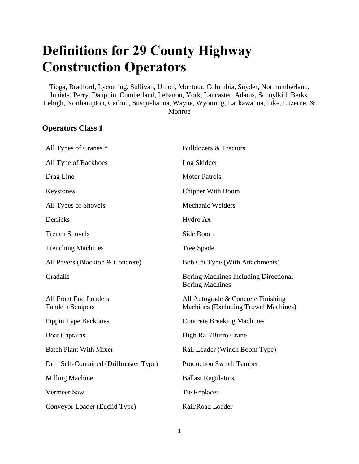# **Definitions for 29 County Highway Construction Operators**

Tioga, Bradford, Lycoming, Sullivan, Union, Montour, Columbia, Snyder, Northumberland, Juniata, Perry, Dauphin, Cumberland, Lebanon, York, Lancaster, Adams, Schuylkill, Berks, Lehigh, Northampton, Carbon, Susquehanna, Wayne, Wyoming, Lackawanna, Pike, Luzerne, & Monroe

# **Operators Class 1**

| All Types of Cranes *                                  | <b>Bulldozers &amp; Tractors</b>                                           |
|--------------------------------------------------------|----------------------------------------------------------------------------|
| All Type of Backhoes                                   | Log Skidder                                                                |
| Drag Line                                              | <b>Motor Patrols</b>                                                       |
| Keystones                                              | Chipper With Boom                                                          |
| All Types of Shovels                                   | <b>Mechanic Welders</b>                                                    |
| Derricks                                               | Hydro Ax                                                                   |
| <b>Trench Shovels</b>                                  | Side Boom                                                                  |
| <b>Trenching Machines</b>                              | <b>Tree Spade</b>                                                          |
| All Pavers (Blacktop & Concrete)                       | <b>Bob Cat Type (With Attachments)</b>                                     |
| Gradalls                                               | Boring Machines Including Directional<br><b>Boring Machines</b>            |
| <b>All Front End Loaders</b><br><b>Tandem Scrapers</b> | All Autograde & Concrete Finishing<br>Machines (Excluding Trowel Machines) |
| Pippin Type Backhoes                                   | <b>Concrete Breaking Machines</b>                                          |
| <b>Boat Captains</b>                                   | High Rail/Burro Crane                                                      |
| <b>Batch Plant With Mixer</b>                          | Rail Loader (Winch Boom Type)                                              |
| Drill Self-Contained (Drillmaster Type)                | <b>Production Switch Tamper</b>                                            |
| <b>Milling Machine</b>                                 | <b>Ballast Regulators</b>                                                  |
| Vermeer Saw                                            | Tie Replacer                                                               |
| Conveyor Loader (Euclid Type)                          | Rail/Road Loader                                                           |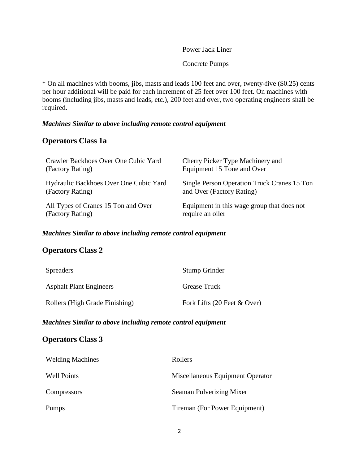Power Jack Liner

Concrete Pumps

\* On all machines with booms, jibs, masts and leads 100 feet and over, twenty-five (\$0.25) cents per hour additional will be paid for each increment of 25 feet over 100 feet. On machines with booms (including jibs, masts and leads, etc.), 200 feet and over, two operating engineers shall be required.

### *Machines Similar to above including remote control equipment*

# **Operators Class 1a**

| Crawler Backhoes Over One Cubic Yard   | Cherry Picker Type Machinery and            |
|----------------------------------------|---------------------------------------------|
| (Factory Rating)                       | Equipment 15 Tone and Over                  |
| Hydraulic Backhoes Over One Cubic Yard | Single Person Operation Truck Cranes 15 Ton |
| (Factory Rating)                       | and Over (Factory Rating)                   |
| All Types of Cranes 15 Ton and Over    | Equipment in this wage group that does not  |
| (Factory Rating)                       | require an oiler                            |

#### *Machines Similar to above including remote control equipment*

# **Operators Class 2**

| <b>Spreaders</b>               | Stump Grinder                    |
|--------------------------------|----------------------------------|
| <b>Asphalt Plant Engineers</b> | <b>Grease Truck</b>              |
| Rollers (High Grade Finishing) | Fork Lifts $(20$ Feet $\&$ Over) |

### *Machines Similar to above including remote control equipment*

# **Operators Class 3**

| <b>Welding Machines</b> | Rollers                          |
|-------------------------|----------------------------------|
| <b>Well Points</b>      | Miscellaneous Equipment Operator |
| Compressors             | Seaman Pulverizing Mixer         |
| <b>Pumps</b>            | Tireman (For Power Equipment)    |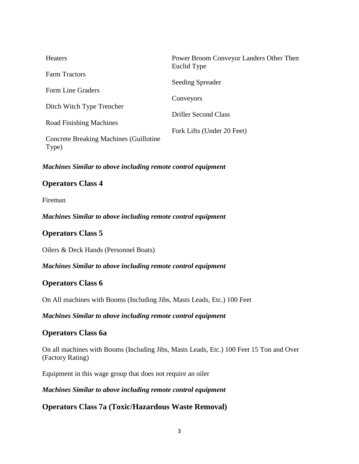| <b>Heaters</b>                                  | Power Broom Conveyor Landers Other Then<br>Euclid Type |
|-------------------------------------------------|--------------------------------------------------------|
| <b>Farm Tractors</b>                            | <b>Seeding Spreader</b>                                |
| Form Line Graders                               |                                                        |
| Ditch Witch Type Trencher                       | Conveyors                                              |
| Road Finishing Machines                         | Driller Second Class                                   |
|                                                 | Fork Lifts (Under 20 Feet)                             |
| Concrete Breaking Machines (Guillotine<br>Type) |                                                        |

*Machines Similar to above including remote control equipment*

# **Operators Class 4**

Fireman

*Machines Similar to above including remote control equipment* 

# **Operators Class 5**

Oilers & Deck Hands (Personnel Boats)

*Machines Similar to above including remote control equipment* 

# **Operators Class 6**

On All machines with Booms (Including Jibs, Masts Leads, Etc.) 100 Feet

*Machines Similar to above including remote control equipment* 

# **Operators Class 6a**

On all machines with Booms (Including Jibs, Masts Leads, Etc.) 100 Feet 15 Ton and Over (Factory Rating)

Equipment in this wage group that does not require an oiler

*Machines Similar to above including remote control equipment* 

## **Operators Class 7a (Toxic/Hazardous Waste Removal)**